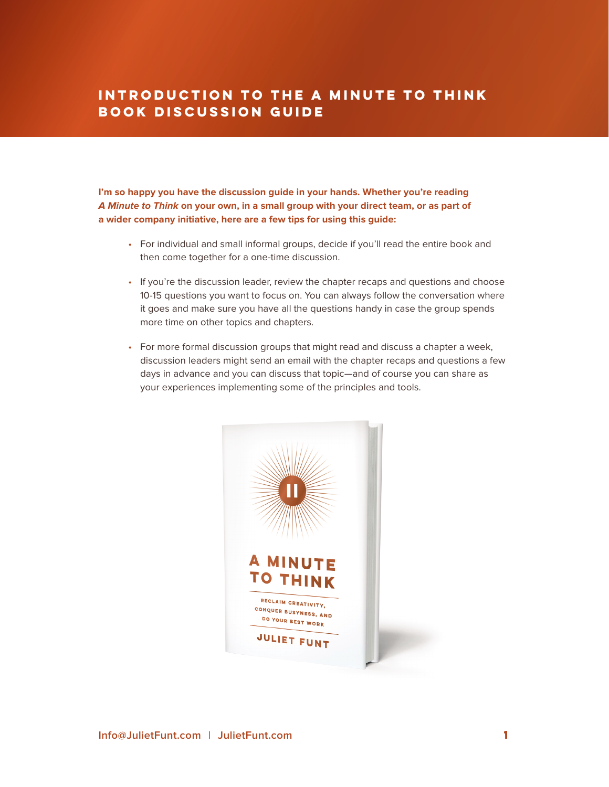## **Introduction to the A Minute to Think Book Discussion Guide**

**I'm so happy you have the discussion guide in your hands. Whether you're reading A Minute to Think on your own, in a small group with your direct team, or as part of a wider company initiative, here are a few tips for using this guide:**

- For individual and small informal groups, decide if you'll read the entire book and then come together for a one-time discussion.
- If you're the discussion leader, review the chapter recaps and questions and choose 10-15 questions you want to focus on. You can always follow the conversation where it goes and make sure you have all the questions handy in case the group spends more time on other topics and chapters.
- For more formal discussion groups that might read and discuss a chapter a week, discussion leaders might send an email with the chapter recaps and questions a few days in advance and you can discuss that topic—and of course you can share as your experiences implementing some of the principles and tools.

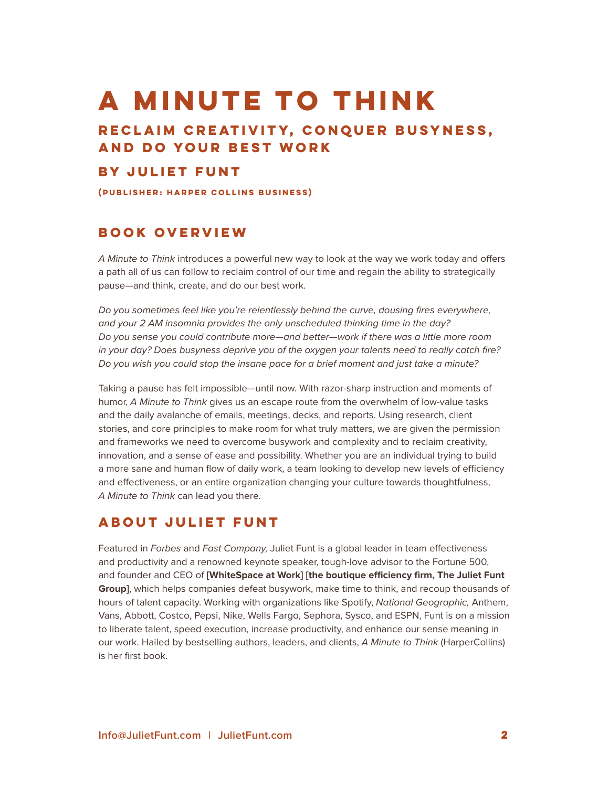## **A MINUTE TO THINK**

### **Reclaim Creativity, Conquer Busyness, and Do Your Best Work**

#### **by JULIET FUNT**

**(publisher: harper collins business)**

#### **Book Overview**

*A Minute to Think* introduces a powerful new way to look at the way we work today and offers a path all of us can follow to reclaim control of our time and regain the ability to strategically pause—and think, create, and do our best work.

*Do you sometimes feel like you're relentlessly behind the curve, dousing fires everywhere, and your 2 AM insomnia provides the only unscheduled thinking time in the day? Do you sense you could contribute more—and better—work if there was a little more room in your day? Does busyness deprive you of the oxygen your talents need to really catch fire? Do you wish you could stop the insane pace for a brief moment and just take a minute?*

Taking a pause has felt impossible—until now. With razor-sharp instruction and moments of humor, *A Minute to Think* gives us an escape route from the overwhelm of low-value tasks and the daily avalanche of emails, meetings, decks, and reports. Using research, client stories, and core principles to make room for what truly matters, we are given the permission and frameworks we need to overcome busywork and complexity and to reclaim creativity, innovation, and a sense of ease and possibility. Whether you are an individual trying to build a more sane and human flow of daily work, a team looking to develop new levels of efficiency and effectiveness, or an entire organization changing your culture towards thoughtfulness, *A Minute to Think* can lead you there.

#### **About Juliet Funt**

Featured in *Forbes* and *Fast Company,* Juliet Funt is a global leader in team effectiveness and productivity and a renowned keynote speaker, tough-love advisor to the Fortune 500, and founder and CEO of **[WhiteSpace at Work] [the boutique efficiency firm, The Juliet Funt Group]**, which helps companies defeat busywork, make time to think, and recoup thousands of hours of talent capacity. Working with organizations like Spotify, *National Geographic,* Anthem, Vans, Abbott, Costco, Pepsi, Nike, Wells Fargo, Sephora, Sysco, and ESPN, Funt is on a mission to liberate talent, speed execution, increase productivity, and enhance our sense meaning in our work. Hailed by bestselling authors, leaders, and clients, *A Minute to Think* (HarperCollins) is her first book.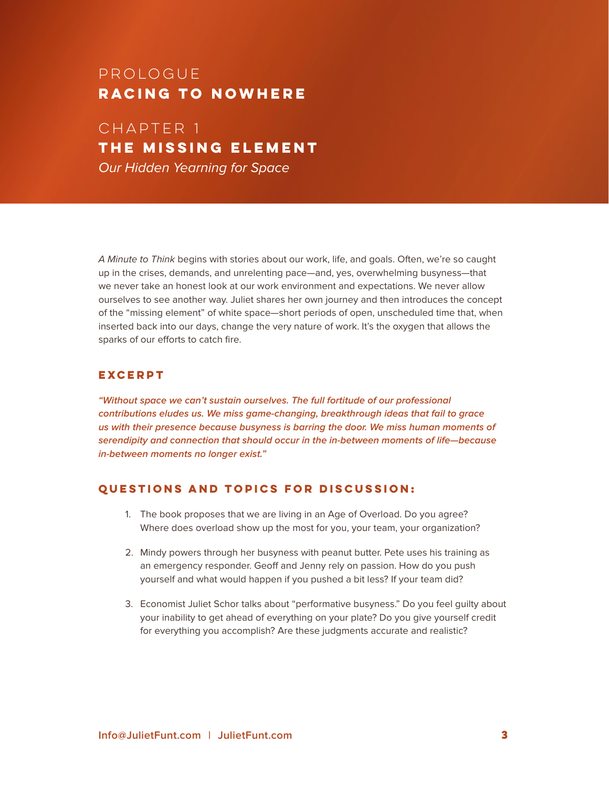## prologue **racing to nowhere**

Chapter 1 **THE MISSING ELEMENT** *Our Hidden Yearning for Space*

*A Minute to Think* begins with stories about our work, life, and goals. Often, we're so caught up in the crises, demands, and unrelenting pace—and, yes, overwhelming busyness—that we never take an honest look at our work environment and expectations. We never allow ourselves to see another way. Juliet shares her own journey and then introduces the concept of the "missing element" of white space—short periods of open, unscheduled time that, when inserted back into our days, change the very nature of work. It's the oxygen that allows the sparks of our efforts to catch fire.

#### **Excerpt**

**"Without space we can't sustain ourselves. The full fortitude of our professional contributions eludes us. We miss game-changing, breakthrough ideas that fail to grace us with their presence because busyness is barring the door. We miss human moments of serendipity and connection that should occur in the in-between moments of life—because in-between moments no longer exist."**

- 1. The book proposes that we are living in an Age of Overload. Do you agree? Where does overload show up the most for you, your team, your organization?
- 2. Mindy powers through her busyness with peanut butter. Pete uses his training as an emergency responder. Geoff and Jenny rely on passion. How do you push yourself and what would happen if you pushed a bit less? If your team did?
- 3. Economist Juliet Schor talks about "performative busyness." Do you feel guilty about your inability to get ahead of everything on your plate? Do you give yourself credit for everything you accomplish? Are these judgments accurate and realistic?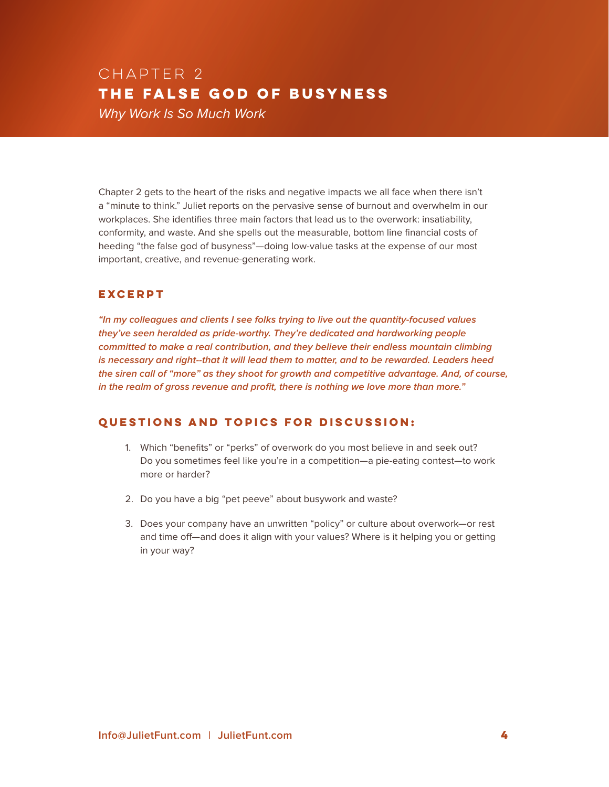## Chapter 2 **THE FALSE GOD OF BUSYNESS**  *Why Work Is So Much Work*

Chapter 2 gets to the heart of the risks and negative impacts we all face when there isn't a "minute to think." Juliet reports on the pervasive sense of burnout and overwhelm in our workplaces. She identifies three main factors that lead us to the overwork: insatiability, conformity, and waste. And she spells out the measurable, bottom line financial costs of heeding "the false god of busyness"—doing low-value tasks at the expense of our most important, creative, and revenue-generating work.

#### **Excerpt**

**"In my colleagues and clients I see folks trying to live out the quantity-focused values they've seen heralded as pride-worthy. They're dedicated and hardworking people committed to make a real contribution, and they believe their endless mountain climbing is necessary and right--that it will lead them to matter, and to be rewarded. Leaders heed the siren call of "more" as they shoot for growth and competitive advantage. And, of course, in the realm of gross revenue and profit, there is nothing we love more than more."** 

- 1. Which "benefits" or "perks" of overwork do you most believe in and seek out? Do you sometimes feel like you're in a competition—a pie-eating contest—to work more or harder?
- 2. Do you have a big "pet peeve" about busywork and waste?
- 3. Does your company have an unwritten "policy" or culture about overwork—or rest and time off—and does it align with your values? Where is it helping you or getting in your way?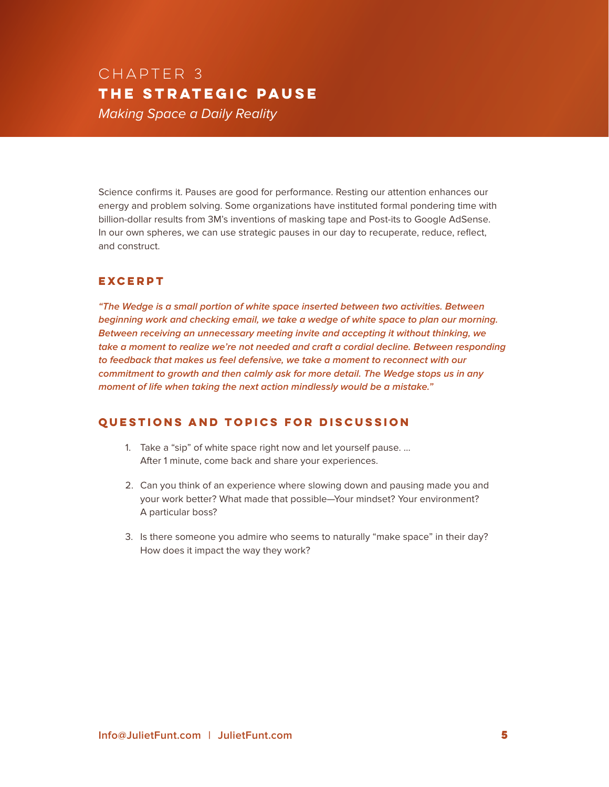## Chapter 3 **THE STRATEGIC PAUSE** *Making Space a Daily Reality*

Science confirms it. Pauses are good for performance. Resting our attention enhances our energy and problem solving. Some organizations have instituted formal pondering time with billion-dollar results from 3M's inventions of masking tape and Post-its to Google AdSense. In our own spheres, we can use strategic pauses in our day to recuperate, reduce, reflect, and construct.

#### **EXCERPT**

**"The Wedge is a small portion of white space inserted between two activities. Between beginning work and checking email, we take a wedge of white space to plan our morning. Between receiving an unnecessary meeting invite and accepting it without thinking, we take a moment to realize we're not needed and craft a cordial decline. Between responding to feedback that makes us feel defensive, we take a moment to reconnect with our commitment to growth and then calmly ask for more detail. The Wedge stops us in any moment of life when taking the next action mindlessly would be a mistake."**

- 1. Take a "sip" of white space right now and let yourself pause. … After 1 minute, come back and share your experiences.
- 2. Can you think of an experience where slowing down and pausing made you and your work better? What made that possible—Your mindset? Your environment? A particular boss?
- 3. Is there someone you admire who seems to naturally "make space" in their day? How does it impact the way they work?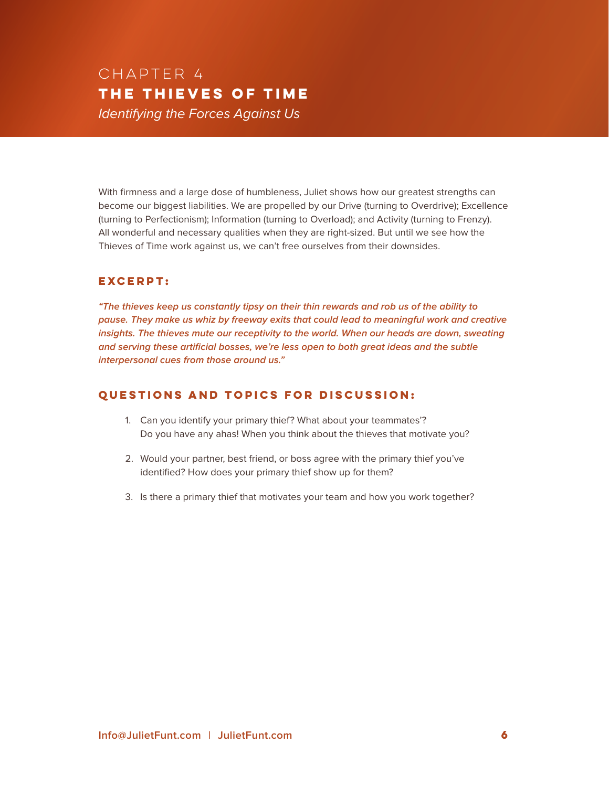## Chapter 4 **THE THIEVES OF TIME** *Identifying the Forces Against Us*

With firmness and a large dose of humbleness, Juliet shows how our greatest strengths can become our biggest liabilities. We are propelled by our Drive (turning to Overdrive); Excellence (turning to Perfectionism); Information (turning to Overload); and Activity (turning to Frenzy). All wonderful and necessary qualities when they are right-sized. But until we see how the Thieves of Time work against us, we can't free ourselves from their downsides.

#### **Excerpt:**

**"The thieves keep us constantly tipsy on their thin rewards and rob us of the ability to pause. They make us whiz by freeway exits that could lead to meaningful work and creative insights. The thieves mute our receptivity to the world. When our heads are down, sweating and serving these artificial bosses, we're less open to both great ideas and the subtle interpersonal cues from those around us."**

- 1. Can you identify your primary thief? What about your teammates'? Do you have any ahas! When you think about the thieves that motivate you?
- 2. Would your partner, best friend, or boss agree with the primary thief you've identified? How does your primary thief show up for them?
- 3. Is there a primary thief that motivates your team and how you work together?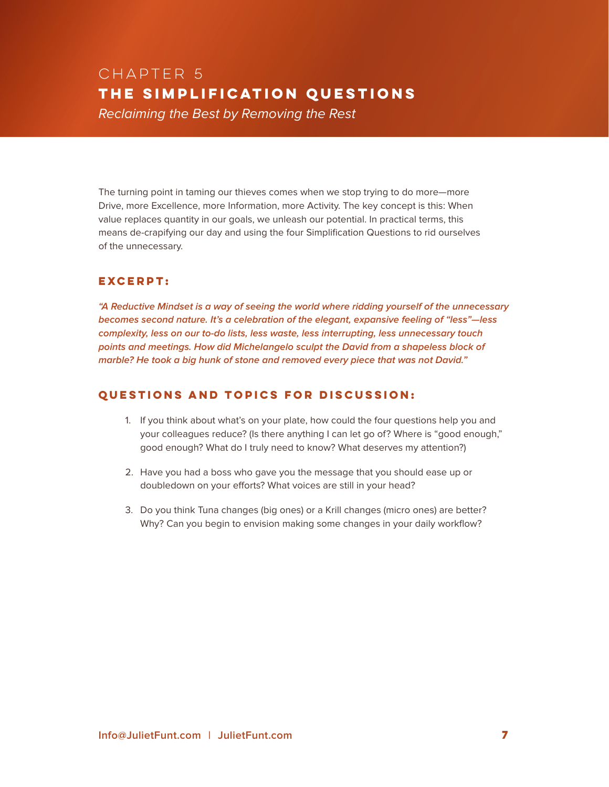## Chapter 5 **THE SIMPLIFICATION QUESTIONS** *Reclaiming the Best by Removing the Rest*

The turning point in taming our thieves comes when we stop trying to do more—more Drive, more Excellence, more Information, more Activity. The key concept is this: When value replaces quantity in our goals, we unleash our potential. In practical terms, this means de-crapifying our day and using the four Simplification Questions to rid ourselves of the unnecessary.

#### **Excerpt:**

**"A Reductive Mindset is a way of seeing the world where ridding yourself of the unnecessary becomes second nature. It's a celebration of the elegant, expansive feeling of "less"—less complexity, less on our to-do lists, less waste, less interrupting, less unnecessary touch points and meetings. How did Michelangelo sculpt the David from a shapeless block of marble? He took a big hunk of stone and removed every piece that was not David."**

- 1. If you think about what's on your plate, how could the four questions help you and your colleagues reduce? (Is there anything I can let go of? Where is "good enough," good enough? What do I truly need to know? What deserves my attention?)
- 2. Have you had a boss who gave you the message that you should ease up or doubledown on your efforts? What voices are still in your head?
- 3. Do you think Tuna changes (big ones) or a Krill changes (micro ones) are better? Why? Can you begin to envision making some changes in your daily workflow?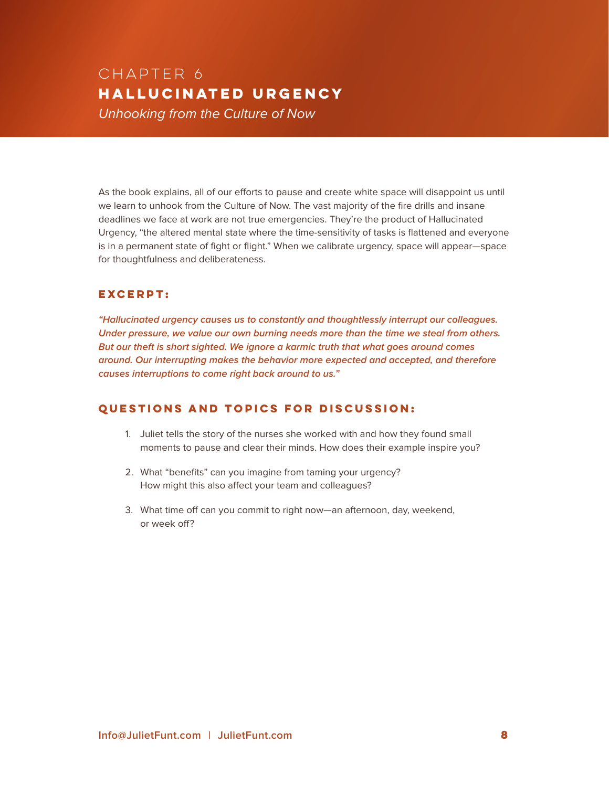## Chapter 6 **HALLUCINATED URGENCY** *Unhooking from the Culture of Now*

As the book explains, all of our efforts to pause and create white space will disappoint us until we learn to unhook from the Culture of Now. The vast majority of the fire drills and insane deadlines we face at work are not true emergencies. They're the product of Hallucinated Urgency, "the altered mental state where the time-sensitivity of tasks is flattened and everyone is in a permanent state of fight or flight." When we calibrate urgency, space will appear—space for thoughtfulness and deliberateness.

#### **Excerpt:**

**"Hallucinated urgency causes us to constantly and thoughtlessly interrupt our colleagues. Under pressure, we value our own burning needs more than the time we steal from others. But our theft is short sighted. We ignore a karmic truth that what goes around comes around. Our interrupting makes the behavior more expected and accepted, and therefore causes interruptions to come right back around to us."**

- 1. Juliet tells the story of the nurses she worked with and how they found small moments to pause and clear their minds. How does their example inspire you?
- 2. What "benefits" can you imagine from taming your urgency? How might this also affect your team and colleagues?
- 3. What time off can you commit to right now—an afternoon, day, weekend, or week off?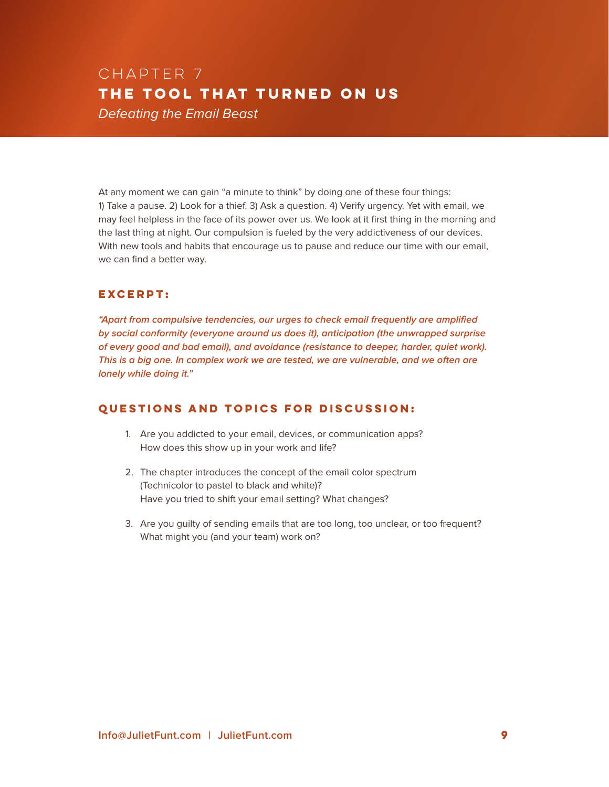## Chapter 7 **THE TOOL THAT TURNED ON US** *Defeating the Email Beast*

At any moment we can gain "a minute to think" by doing one of these four things: 1) Take a pause. 2) Look for a thief. 3) Ask a question. 4) Verify urgency. Yet with email, we may feel helpless in the face of its power over us. We look at it first thing in the morning and the last thing at night. Our compulsion is fueled by the very addictiveness of our devices. With new tools and habits that encourage us to pause and reduce our time with our email, we can find a better way.

#### **Excerpt:**

**"Apart from compulsive tendencies, our urges to check email frequently are amplified by social conformity (everyone around us does it), anticipation (the unwrapped surprise of every good and bad email), and avoidance (resistance to deeper, harder, quiet work). This is a big one. In complex work we are tested, we are vulnerable, and we often are lonely while doing it."** 

- 1. Are you addicted to your email, devices, or communication apps? How does this show up in your work and life?
- 2. The chapter introduces the concept of the email color spectrum (Technicolor to pastel to black and white)? Have you tried to shift your email setting? What changes?
- 3. Are you guilty of sending emails that are too long, too unclear, or too frequent? What might you (and your team) work on?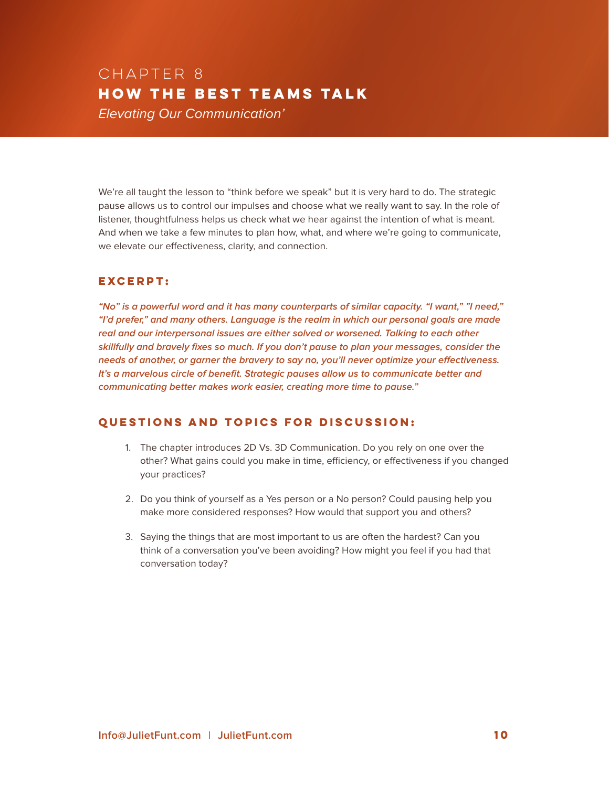## Chapter 8 **HOW THE BEST TEAMS TALK** *Elevating Our Communication'*

We're all taught the lesson to "think before we speak" but it is very hard to do. The strategic pause allows us to control our impulses and choose what we really want to say. In the role of listener, thoughtfulness helps us check what we hear against the intention of what is meant. And when we take a few minutes to plan how, what, and where we're going to communicate, we elevate our effectiveness, clarity, and connection.

#### **Excerpt:**

**"No" is a powerful word and it has many counterparts of similar capacity. "I want," "I need," "I'd prefer," and many others. Language is the realm in which our personal goals are made real and our interpersonal issues are either solved or worsened. Talking to each other skillfully and bravely fixes so much. If you don't pause to plan your messages, consider the needs of another, or garner the bravery to say no, you'll never optimize your effectiveness. It's a marvelous circle of benefit. Strategic pauses allow us to communicate better and communicating better makes work easier, creating more time to pause."**

- 1. The chapter introduces 2D Vs. 3D Communication. Do you rely on one over the other? What gains could you make in time, efficiency, or effectiveness if you changed your practices?
- 2. Do you think of yourself as a Yes person or a No person? Could pausing help you make more considered responses? How would that support you and others?
- 3. Saying the things that are most important to us are often the hardest? Can you think of a conversation you've been avoiding? How might you feel if you had that conversation today?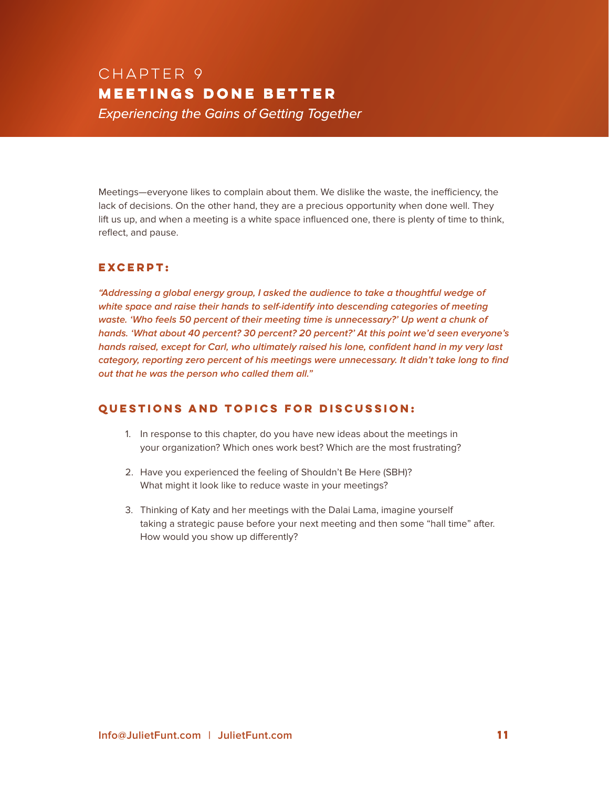## Chapter 9 **MEETINGS DONE BETTER** *Experiencing the Gains of Getting Together*

Meetings—everyone likes to complain about them. We dislike the waste, the inefficiency, the lack of decisions. On the other hand, they are a precious opportunity when done well. They lift us up, and when a meeting is a white space influenced one, there is plenty of time to think, reflect, and pause.

#### **Excerpt:**

**"Addressing a global energy group, I asked the audience to take a thoughtful wedge of white space and raise their hands to self-identify into descending categories of meeting waste. 'Who feels 50 percent of their meeting time is unnecessary?' Up went a chunk of hands. 'What about 40 percent? 30 percent? 20 percent?' At this point we'd seen everyone's hands raised, except for Carl, who ultimately raised his lone, confident hand in my very last category, reporting zero percent of his meetings were unnecessary. It didn't take long to find out that he was the person who called them all."**

- 1. In response to this chapter, do you have new ideas about the meetings in your organization? Which ones work best? Which are the most frustrating?
- 2. Have you experienced the feeling of Shouldn't Be Here (SBH)? What might it look like to reduce waste in your meetings?
- 3. Thinking of Katy and her meetings with the Dalai Lama, imagine yourself taking a strategic pause before your next meeting and then some "hall time" after. How would you show up differently?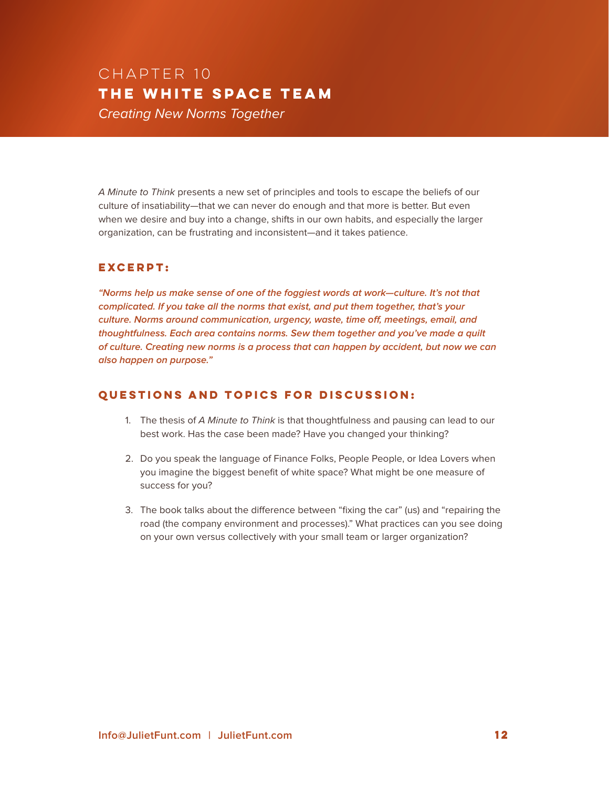## Chapter 10 **THE WHITE SPACE TEAM** *Creating New Norms Together*

*A Minute to Think* presents a new set of principles and tools to escape the beliefs of our culture of insatiability—that we can never do enough and that more is better. But even when we desire and buy into a change, shifts in our own habits, and especially the larger organization, can be frustrating and inconsistent—and it takes patience.

#### **Excerpt:**

**"Norms help us make sense of one of the foggiest words at work—culture. It's not that complicated. If you take all the norms that exist, and put them together, that's your culture. Norms around communication, urgency, waste, time off, meetings, email, and thoughtfulness. Each area contains norms. Sew them together and you've made a quilt of culture. Creating new norms is a process that can happen by accident, but now we can also happen on purpose."**

- 1. The thesis of *A Minute to Think* is that thoughtfulness and pausing can lead to our best work. Has the case been made? Have you changed your thinking?
- 2. Do you speak the language of Finance Folks, People People, or Idea Lovers when you imagine the biggest benefit of white space? What might be one measure of success for you?
- 3. The book talks about the difference between "fixing the car" (us) and "repairing the road (the company environment and processes)." What practices can you see doing on your own versus collectively with your small team or larger organization?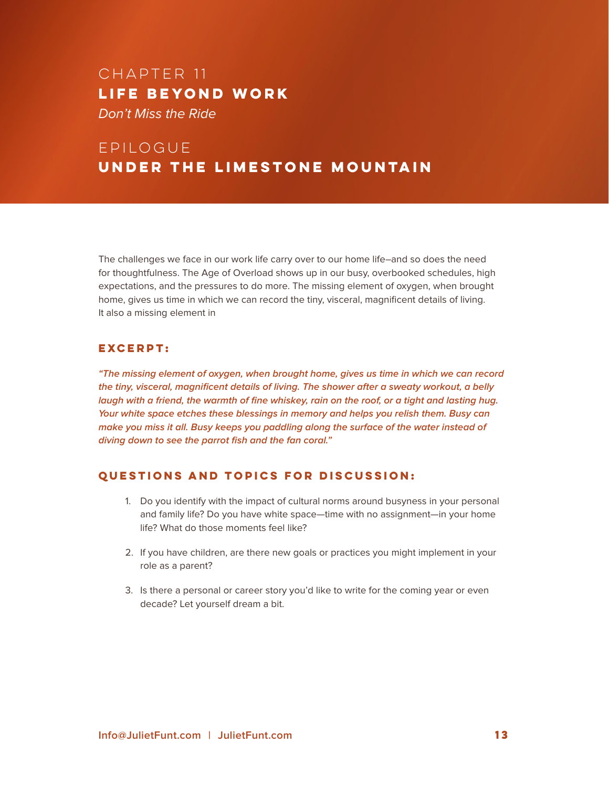## Chapter 11 **LIFE BEYOND WORK** *Don't Miss the Ride*

## epilogue **Under the Limestone Mountain**

The challenges we face in our work life carry over to our home life–and so does the need for thoughtfulness. The Age of Overload shows up in our busy, overbooked schedules, high expectations, and the pressures to do more. The missing element of oxygen, when brought home, gives us time in which we can record the tiny, visceral, magnificent details of living. It also a missing element in

#### **Excerpt:**

**"The missing element of oxygen, when brought home, gives us time in which we can record the tiny, visceral, magnificent details of living. The shower after a sweaty workout, a belly laugh with a friend, the warmth of fine whiskey, rain on the roof, or a tight and lasting hug. Your white space etches these blessings in memory and helps you relish them. Busy can make you miss it all. Busy keeps you paddling along the surface of the water instead of diving down to see the parrot fish and the fan coral."**

- 1. Do you identify with the impact of cultural norms around busyness in your personal and family life? Do you have white space—time with no assignment—in your home life? What do those moments feel like?
- 2. If you have children, are there new goals or practices you might implement in your role as a parent?
- 3. Is there a personal or career story you'd like to write for the coming year or even decade? Let yourself dream a bit.